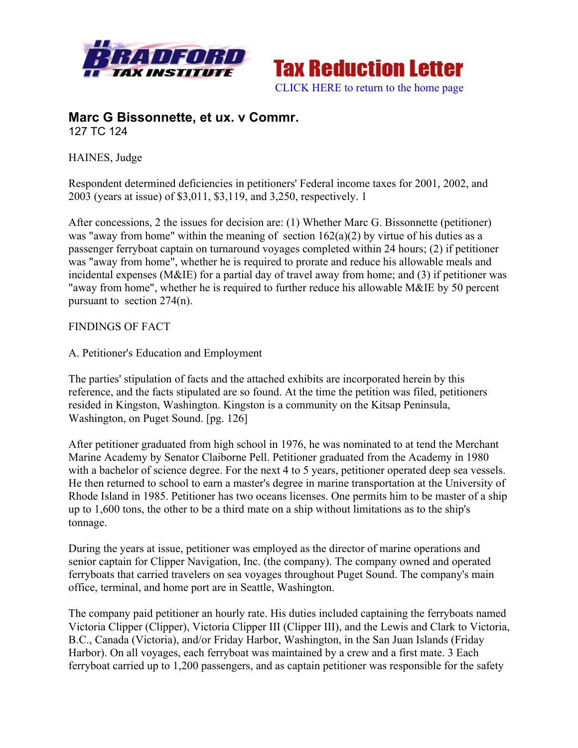



# **Marc G Bissonnette, et ux. v Commr.** 127 TC 124

HAINES, Judge

Respondent determined deficiencies in petitioners' Federal income taxes for 2001, 2002, and 2003 (years at issue) of \$3,011, \$3,119, and 3,250, respectively. 1

After concessions, 2 the issues for decision are: (1) Whether Marc G. Bissonnette (petitioner) was "away from home" within the meaning of section  $162(a)(2)$  by virtue of his duties as a passenger ferryboat captain on turnaround voyages completed within 24 hours; (2) if petitioner was "away from home", whether he is required to prorate and reduce his allowable meals and incidental expenses (M&IE) for a partial day of travel away from home; and (3) if petitioner was "away from home", whether he is required to further reduce his allowable M&IE by 50 percent pursuant to section 274(n).

### FINDINGS OF FACT

#### A. Petitioner's Education and Employment

The parties' stipulation of facts and the attached exhibits are incorporated herein by this reference, and the facts stipulated are so found. At the time the petition was filed, petitioners resided in Kingston, Washington. Kingston is a community on the Kitsap Peninsula, Washington, on Puget Sound. [pg. 126]

After petitioner graduated from high school in 1976, he was nominated to at tend the Merchant Marine Academy by Senator Claiborne Pell. Petitioner graduated from the Academy in 1980 with a bachelor of science degree. For the next 4 to 5 years, petitioner operated deep sea vessels. He then returned to school to earn a master's degree in marine transportation at the University of Rhode Island in 1985. Petitioner has two oceans licenses. One permits him to be master of a ship up to 1,600 tons, the other to be a third mate on a ship without limitations as to the ship's tonnage.

During the years at issue, petitioner was employed as the director of marine operations and senior captain for Clipper Navigation, Inc. (the company). The company owned and operated ferryboats that carried travelers on sea voyages throughout Puget Sound. The company's main office, terminal, and home port are in Seattle, Washington.

The company paid petitioner an hourly rate. His duties included captaining the ferryboats named Victoria Clipper (Clipper), Victoria Clipper III (Clipper III), and the Lewis and Clark to Victoria, B.C., Canada (Victoria), and/or Friday Harbor, Washington, in the San Juan Islands (Friday Harbor). On all voyages, each ferryboat was maintained by a crew and a first mate. 3 Each ferryboat carried up to 1,200 passengers, and as captain petitioner was responsible for the safety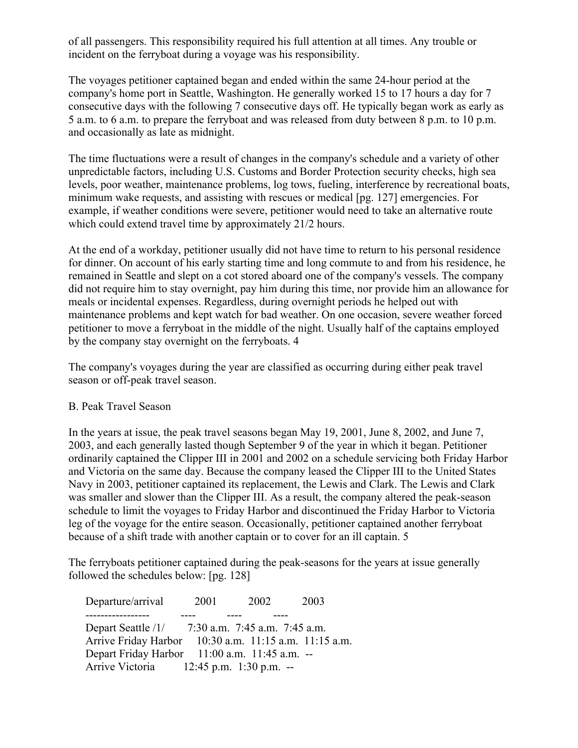of all passengers. This responsibility required his full attention at all times. Any trouble or incident on the ferryboat during a voyage was his responsibility.

The voyages petitioner captained began and ended within the same 24-hour period at the company's home port in Seattle, Washington. He generally worked 15 to 17 hours a day for 7 consecutive days with the following 7 consecutive days off. He typically began work as early as 5 a.m. to 6 a.m. to prepare the ferryboat and was released from duty between 8 p.m. to 10 p.m. and occasionally as late as midnight.

The time fluctuations were a result of changes in the company's schedule and a variety of other unpredictable factors, including U.S. Customs and Border Protection security checks, high sea levels, poor weather, maintenance problems, log tows, fueling, interference by recreational boats, minimum wake requests, and assisting with rescues or medical [pg. 127] emergencies. For example, if weather conditions were severe, petitioner would need to take an alternative route which could extend travel time by approximately 21/2 hours.

At the end of a workday, petitioner usually did not have time to return to his personal residence for dinner. On account of his early starting time and long commute to and from his residence, he remained in Seattle and slept on a cot stored aboard one of the company's vessels. The company did not require him to stay overnight, pay him during this time, nor provide him an allowance for meals or incidental expenses. Regardless, during overnight periods he helped out with maintenance problems and kept watch for bad weather. On one occasion, severe weather forced petitioner to move a ferryboat in the middle of the night. Usually half of the captains employed by the company stay overnight on the ferryboats. 4

The company's voyages during the year are classified as occurring during either peak travel season or off-peak travel season.

### B. Peak Travel Season

In the years at issue, the peak travel seasons began May 19, 2001, June 8, 2002, and June 7, 2003, and each generally lasted though September 9 of the year in which it began. Petitioner ordinarily captained the Clipper III in 2001 and 2002 on a schedule servicing both Friday Harbor and Victoria on the same day. Because the company leased the Clipper III to the United States Navy in 2003, petitioner captained its replacement, the Lewis and Clark. The Lewis and Clark was smaller and slower than the Clipper III. As a result, the company altered the peak-season schedule to limit the voyages to Friday Harbor and discontinued the Friday Harbor to Victoria leg of the voyage for the entire season. Occasionally, petitioner captained another ferryboat because of a shift trade with another captain or to cover for an ill captain. 5

The ferryboats petitioner captained during the peak-seasons for the years at issue generally followed the schedules below: [pg. 128]

 Departure/arrival 2001 2002 2003 ----------------- ---- ---- ---- Depart Seattle /1/ 7:30 a.m. 7:45 a.m. 7:45 a.m. Arrive Friday Harbor 10:30 a.m. 11:15 a.m. 11:15 a.m. Depart Friday Harbor 11:00 a.m. 11:45 a.m. -- Arrive Victoria 12:45 p.m. 1:30 p.m. --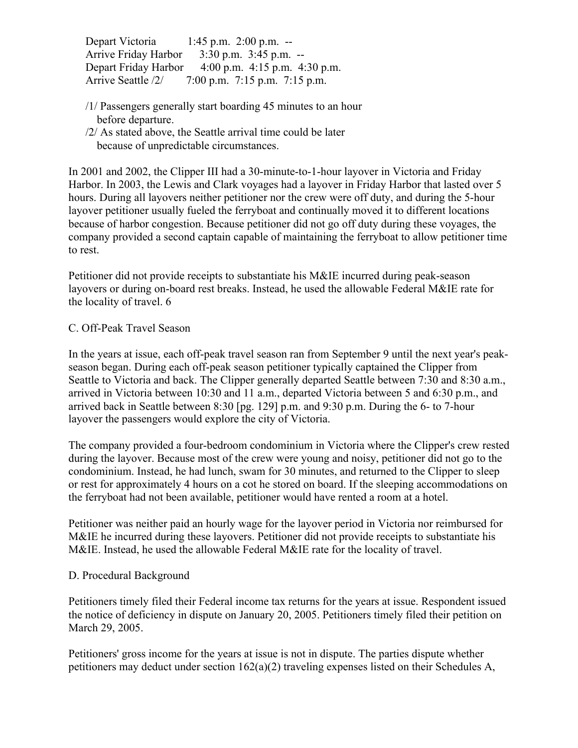Depart Victoria 1:45 p.m. 2:00 p.m. -- Arrive Friday Harbor 3:30 p.m. 3:45 p.m. -- Depart Friday Harbor 4:00 p.m. 4:15 p.m. 4:30 p.m. Arrive Seattle /2/ 7:00 p.m. 7:15 p.m. 7:15 p.m.

- /1/ Passengers generally start boarding 45 minutes to an hour before departure.
- /2/ As stated above, the Seattle arrival time could be later because of unpredictable circumstances.

In 2001 and 2002, the Clipper III had a 30-minute-to-1-hour layover in Victoria and Friday Harbor. In 2003, the Lewis and Clark voyages had a layover in Friday Harbor that lasted over 5 hours. During all layovers neither petitioner nor the crew were off duty, and during the 5-hour layover petitioner usually fueled the ferryboat and continually moved it to different locations because of harbor congestion. Because petitioner did not go off duty during these voyages, the company provided a second captain capable of maintaining the ferryboat to allow petitioner time to rest.

Petitioner did not provide receipts to substantiate his M&IE incurred during peak-season layovers or during on-board rest breaks. Instead, he used the allowable Federal M&IE rate for the locality of travel. 6

### C. Off-Peak Travel Season

In the years at issue, each off-peak travel season ran from September 9 until the next year's peakseason began. During each off-peak season petitioner typically captained the Clipper from Seattle to Victoria and back. The Clipper generally departed Seattle between 7:30 and 8:30 a.m., arrived in Victoria between 10:30 and 11 a.m., departed Victoria between 5 and 6:30 p.m., and arrived back in Seattle between 8:30 [pg. 129] p.m. and 9:30 p.m. During the 6- to 7-hour layover the passengers would explore the city of Victoria.

The company provided a four-bedroom condominium in Victoria where the Clipper's crew rested during the layover. Because most of the crew were young and noisy, petitioner did not go to the condominium. Instead, he had lunch, swam for 30 minutes, and returned to the Clipper to sleep or rest for approximately 4 hours on a cot he stored on board. If the sleeping accommodations on the ferryboat had not been available, petitioner would have rented a room at a hotel.

Petitioner was neither paid an hourly wage for the layover period in Victoria nor reimbursed for M&IE he incurred during these layovers. Petitioner did not provide receipts to substantiate his M&IE. Instead, he used the allowable Federal M&IE rate for the locality of travel.

### D. Procedural Background

Petitioners timely filed their Federal income tax returns for the years at issue. Respondent issued the notice of deficiency in dispute on January 20, 2005. Petitioners timely filed their petition on March 29, 2005.

Petitioners' gross income for the years at issue is not in dispute. The parties dispute whether petitioners may deduct under section 162(a)(2) traveling expenses listed on their Schedules A,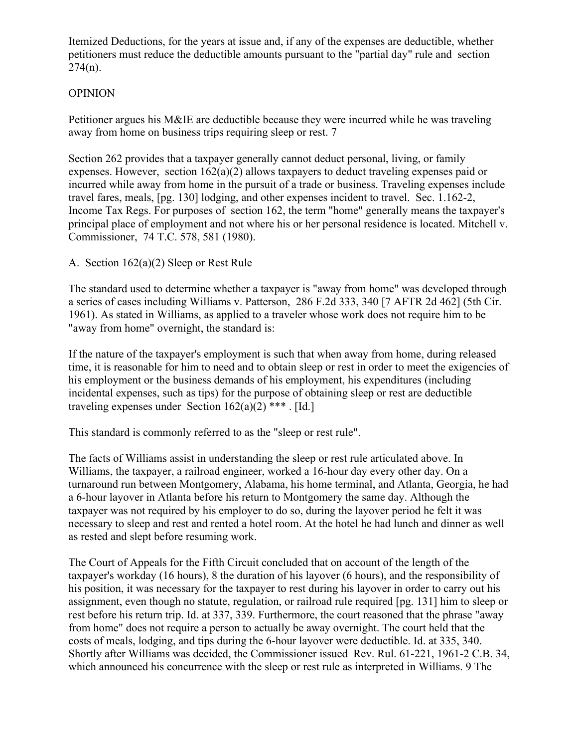Itemized Deductions, for the years at issue and, if any of the expenses are deductible, whether petitioners must reduce the deductible amounts pursuant to the "partial day" rule and section  $274(n)$ .

### OPINION

Petitioner argues his M&IE are deductible because they were incurred while he was traveling away from home on business trips requiring sleep or rest. 7

Section 262 provides that a taxpayer generally cannot deduct personal, living, or family expenses. However, section 162(a)(2) allows taxpayers to deduct traveling expenses paid or incurred while away from home in the pursuit of a trade or business. Traveling expenses include travel fares, meals, [pg. 130] lodging, and other expenses incident to travel. Sec. 1.162-2, Income Tax Regs. For purposes of section 162, the term "home" generally means the taxpayer's principal place of employment and not where his or her personal residence is located. Mitchell v. Commissioner, 74 T.C. 578, 581 (1980).

A. Section 162(a)(2) Sleep or Rest Rule

The standard used to determine whether a taxpayer is "away from home" was developed through a series of cases including Williams v. Patterson, 286 F.2d 333, 340 [7 AFTR 2d 462] (5th Cir. 1961). As stated in Williams, as applied to a traveler whose work does not require him to be "away from home" overnight, the standard is:

If the nature of the taxpayer's employment is such that when away from home, during released time, it is reasonable for him to need and to obtain sleep or rest in order to meet the exigencies of his employment or the business demands of his employment, his expenditures (including incidental expenses, such as tips) for the purpose of obtaining sleep or rest are deductible traveling expenses under Section  $162(a)(2)$  \*\*\*. [Id.]

This standard is commonly referred to as the "sleep or rest rule".

The facts of Williams assist in understanding the sleep or rest rule articulated above. In Williams, the taxpayer, a railroad engineer, worked a 16-hour day every other day. On a turnaround run between Montgomery, Alabama, his home terminal, and Atlanta, Georgia, he had a 6-hour layover in Atlanta before his return to Montgomery the same day. Although the taxpayer was not required by his employer to do so, during the layover period he felt it was necessary to sleep and rest and rented a hotel room. At the hotel he had lunch and dinner as well as rested and slept before resuming work.

The Court of Appeals for the Fifth Circuit concluded that on account of the length of the taxpayer's workday (16 hours), 8 the duration of his layover (6 hours), and the responsibility of his position, it was necessary for the taxpayer to rest during his layover in order to carry out his assignment, even though no statute, regulation, or railroad rule required [pg. 131] him to sleep or rest before his return trip. Id. at 337, 339. Furthermore, the court reasoned that the phrase "away from home" does not require a person to actually be away overnight. The court held that the costs of meals, lodging, and tips during the 6-hour layover were deductible. Id. at 335, 340. Shortly after Williams was decided, the Commissioner issued Rev. Rul. 61-221, 1961-2 C.B. 34, which announced his concurrence with the sleep or rest rule as interpreted in Williams. 9 The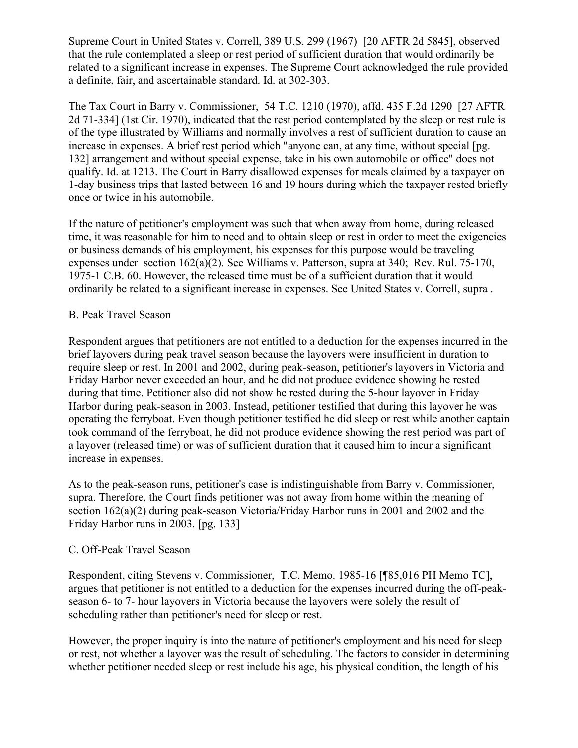Supreme Court in United States v. Correll, 389 U.S. 299 (1967) [20 AFTR 2d 5845], observed that the rule contemplated a sleep or rest period of sufficient duration that would ordinarily be related to a significant increase in expenses. The Supreme Court acknowledged the rule provided a definite, fair, and ascertainable standard. Id. at 302-303.

The Tax Court in Barry v. Commissioner, 54 T.C. 1210 (1970), affd. 435 F.2d 1290 [27 AFTR 2d 71-334] (1st Cir. 1970), indicated that the rest period contemplated by the sleep or rest rule is of the type illustrated by Williams and normally involves a rest of sufficient duration to cause an increase in expenses. A brief rest period which "anyone can, at any time, without special [pg. 132] arrangement and without special expense, take in his own automobile or office" does not qualify. Id. at 1213. The Court in Barry disallowed expenses for meals claimed by a taxpayer on 1-day business trips that lasted between 16 and 19 hours during which the taxpayer rested briefly once or twice in his automobile.

If the nature of petitioner's employment was such that when away from home, during released time, it was reasonable for him to need and to obtain sleep or rest in order to meet the exigencies or business demands of his employment, his expenses for this purpose would be traveling expenses under section 162(a)(2). See Williams v. Patterson, supra at 340; Rev. Rul. 75-170, 1975-1 C.B. 60. However, the released time must be of a sufficient duration that it would ordinarily be related to a significant increase in expenses. See United States v. Correll, supra .

### B. Peak Travel Season

Respondent argues that petitioners are not entitled to a deduction for the expenses incurred in the brief layovers during peak travel season because the layovers were insufficient in duration to require sleep or rest. In 2001 and 2002, during peak-season, petitioner's layovers in Victoria and Friday Harbor never exceeded an hour, and he did not produce evidence showing he rested during that time. Petitioner also did not show he rested during the 5-hour layover in Friday Harbor during peak-season in 2003. Instead, petitioner testified that during this layover he was operating the ferryboat. Even though petitioner testified he did sleep or rest while another captain took command of the ferryboat, he did not produce evidence showing the rest period was part of a layover (released time) or was of sufficient duration that it caused him to incur a significant increase in expenses.

As to the peak-season runs, petitioner's case is indistinguishable from Barry v. Commissioner, supra. Therefore, the Court finds petitioner was not away from home within the meaning of section 162(a)(2) during peak-season Victoria/Friday Harbor runs in 2001 and 2002 and the Friday Harbor runs in 2003. [pg. 133]

### C. Off-Peak Travel Season

Respondent, citing Stevens v. Commissioner, T.C. Memo. 1985-16 [¶85,016 PH Memo TC], argues that petitioner is not entitled to a deduction for the expenses incurred during the off-peakseason 6- to 7- hour layovers in Victoria because the layovers were solely the result of scheduling rather than petitioner's need for sleep or rest.

However, the proper inquiry is into the nature of petitioner's employment and his need for sleep or rest, not whether a layover was the result of scheduling. The factors to consider in determining whether petitioner needed sleep or rest include his age, his physical condition, the length of his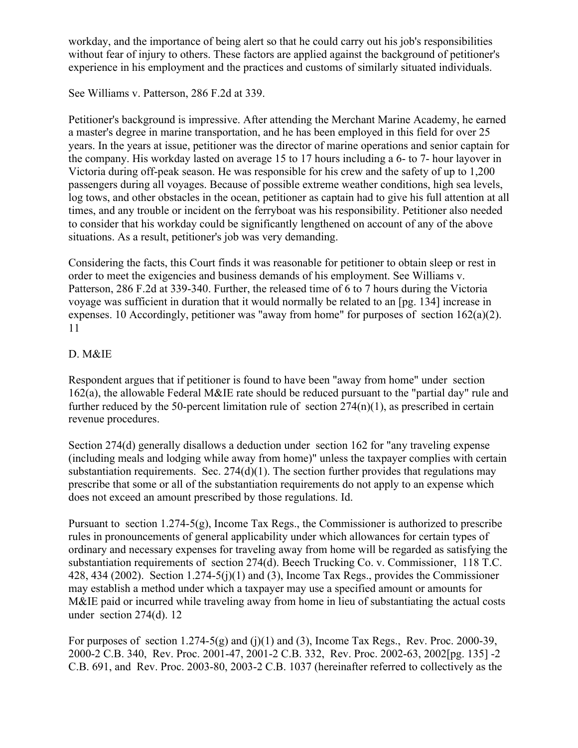workday, and the importance of being alert so that he could carry out his job's responsibilities without fear of injury to others. These factors are applied against the background of petitioner's experience in his employment and the practices and customs of similarly situated individuals.

See Williams v. Patterson, 286 F.2d at 339.

Petitioner's background is impressive. After attending the Merchant Marine Academy, he earned a master's degree in marine transportation, and he has been employed in this field for over 25 years. In the years at issue, petitioner was the director of marine operations and senior captain for the company. His workday lasted on average 15 to 17 hours including a 6- to 7- hour layover in Victoria during off-peak season. He was responsible for his crew and the safety of up to 1,200 passengers during all voyages. Because of possible extreme weather conditions, high sea levels, log tows, and other obstacles in the ocean, petitioner as captain had to give his full attention at all times, and any trouble or incident on the ferryboat was his responsibility. Petitioner also needed to consider that his workday could be significantly lengthened on account of any of the above situations. As a result, petitioner's job was very demanding.

Considering the facts, this Court finds it was reasonable for petitioner to obtain sleep or rest in order to meet the exigencies and business demands of his employment. See Williams v. Patterson, 286 F.2d at 339-340. Further, the released time of 6 to 7 hours during the Victoria voyage was sufficient in duration that it would normally be related to an [pg. 134] increase in expenses. 10 Accordingly, petitioner was "away from home" for purposes of section 162(a)(2). 11

## D. M&IE

Respondent argues that if petitioner is found to have been "away from home" under section 162(a), the allowable Federal M&IE rate should be reduced pursuant to the "partial day" rule and further reduced by the 50-percent limitation rule of section  $274(n)(1)$ , as prescribed in certain revenue procedures.

Section 274(d) generally disallows a deduction under section 162 for "any traveling expense (including meals and lodging while away from home)" unless the taxpayer complies with certain substantiation requirements. Sec.  $274(d)(1)$ . The section further provides that regulations may prescribe that some or all of the substantiation requirements do not apply to an expense which does not exceed an amount prescribed by those regulations. Id.

Pursuant to section 1.274-5(g), Income Tax Regs., the Commissioner is authorized to prescribe rules in pronouncements of general applicability under which allowances for certain types of ordinary and necessary expenses for traveling away from home will be regarded as satisfying the substantiation requirements of section 274(d). Beech Trucking Co. v. Commissioner, 118 T.C. 428, 434 (2002). Section  $1.274-5(j)(1)$  and (3), Income Tax Regs., provides the Commissioner may establish a method under which a taxpayer may use a specified amount or amounts for M&IE paid or incurred while traveling away from home in lieu of substantiating the actual costs under section 274(d). 12

For purposes of section 1.274-5(g) and (j)(1) and (3), Income Tax Regs., Rev. Proc. 2000-39, 2000-2 C.B. 340, Rev. Proc. 2001-47, 2001-2 C.B. 332, Rev. Proc. 2002-63, 2002[pg. 135] -2 C.B. 691, and Rev. Proc. 2003-80, 2003-2 C.B. 1037 (hereinafter referred to collectively as the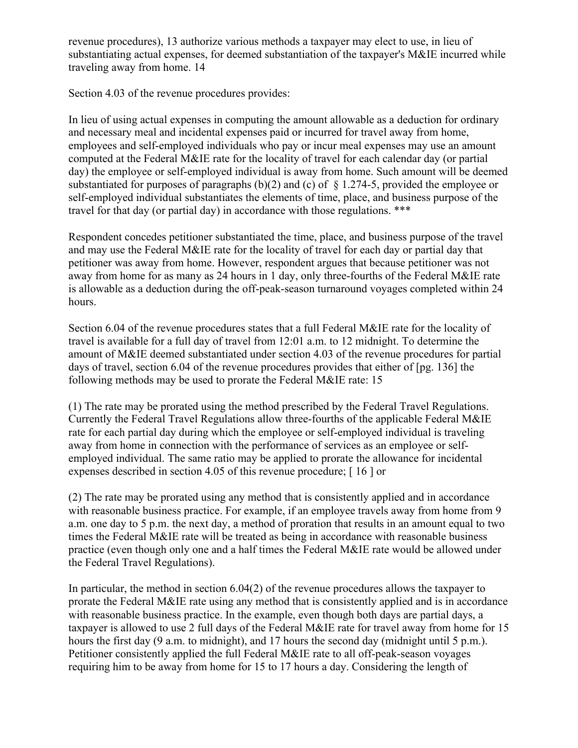revenue procedures), 13 authorize various methods a taxpayer may elect to use, in lieu of substantiating actual expenses, for deemed substantiation of the taxpayer's M&IE incurred while traveling away from home. 14

Section 4.03 of the revenue procedures provides:

In lieu of using actual expenses in computing the amount allowable as a deduction for ordinary and necessary meal and incidental expenses paid or incurred for travel away from home, employees and self-employed individuals who pay or incur meal expenses may use an amount computed at the Federal M&IE rate for the locality of travel for each calendar day (or partial day) the employee or self-employed individual is away from home. Such amount will be deemed substantiated for purposes of paragraphs (b)(2) and (c) of  $\S$  1.274-5, provided the employee or self-employed individual substantiates the elements of time, place, and business purpose of the travel for that day (or partial day) in accordance with those regulations. \*\*\*

Respondent concedes petitioner substantiated the time, place, and business purpose of the travel and may use the Federal M&IE rate for the locality of travel for each day or partial day that petitioner was away from home. However, respondent argues that because petitioner was not away from home for as many as 24 hours in 1 day, only three-fourths of the Federal M&IE rate is allowable as a deduction during the off-peak-season turnaround voyages completed within 24 hours.

Section 6.04 of the revenue procedures states that a full Federal M&IE rate for the locality of travel is available for a full day of travel from 12:01 a.m. to 12 midnight. To determine the amount of M&IE deemed substantiated under section 4.03 of the revenue procedures for partial days of travel, section 6.04 of the revenue procedures provides that either of [pg. 136] the following methods may be used to prorate the Federal M&IE rate: 15

(1) The rate may be prorated using the method prescribed by the Federal Travel Regulations. Currently the Federal Travel Regulations allow three-fourths of the applicable Federal M&IE rate for each partial day during which the employee or self-employed individual is traveling away from home in connection with the performance of services as an employee or selfemployed individual. The same ratio may be applied to prorate the allowance for incidental expenses described in section 4.05 of this revenue procedure; [ 16 ] or

(2) The rate may be prorated using any method that is consistently applied and in accordance with reasonable business practice. For example, if an employee travels away from home from 9 a.m. one day to 5 p.m. the next day, a method of proration that results in an amount equal to two times the Federal M&IE rate will be treated as being in accordance with reasonable business practice (even though only one and a half times the Federal M&IE rate would be allowed under the Federal Travel Regulations).

In particular, the method in section 6.04(2) of the revenue procedures allows the taxpayer to prorate the Federal M&IE rate using any method that is consistently applied and is in accordance with reasonable business practice. In the example, even though both days are partial days, a taxpayer is allowed to use 2 full days of the Federal M&IE rate for travel away from home for 15 hours the first day (9 a.m. to midnight), and 17 hours the second day (midnight until 5 p.m.). Petitioner consistently applied the full Federal M&IE rate to all off-peak-season voyages requiring him to be away from home for 15 to 17 hours a day. Considering the length of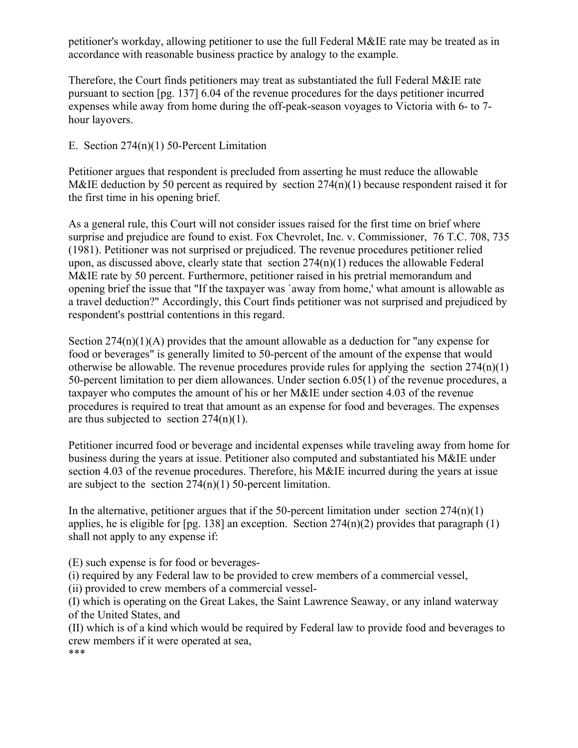petitioner's workday, allowing petitioner to use the full Federal M&IE rate may be treated as in accordance with reasonable business practice by analogy to the example.

Therefore, the Court finds petitioners may treat as substantiated the full Federal M&IE rate pursuant to section [pg. 137] 6.04 of the revenue procedures for the days petitioner incurred expenses while away from home during the off-peak-season voyages to Victoria with 6- to 7 hour layovers.

E. Section 274(n)(1) 50-Percent Limitation

Petitioner argues that respondent is precluded from asserting he must reduce the allowable M&IE deduction by 50 percent as required by section  $274(n)(1)$  because respondent raised it for the first time in his opening brief.

As a general rule, this Court will not consider issues raised for the first time on brief where surprise and prejudice are found to exist. Fox Chevrolet, Inc. v. Commissioner, 76 T.C. 708, 735 (1981). Petitioner was not surprised or prejudiced. The revenue procedures petitioner relied upon, as discussed above, clearly state that section  $274(n)(1)$  reduces the allowable Federal M&IE rate by 50 percent. Furthermore, petitioner raised in his pretrial memorandum and opening brief the issue that "If the taxpayer was `away from home,' what amount is allowable as a travel deduction?" Accordingly, this Court finds petitioner was not surprised and prejudiced by respondent's posttrial contentions in this regard.

Section  $274(n)(1)(A)$  provides that the amount allowable as a deduction for "any expense for food or beverages" is generally limited to 50-percent of the amount of the expense that would otherwise be allowable. The revenue procedures provide rules for applying the section 274(n)(1) 50-percent limitation to per diem allowances. Under section 6.05(1) of the revenue procedures, a taxpayer who computes the amount of his or her M&IE under section 4.03 of the revenue procedures is required to treat that amount as an expense for food and beverages. The expenses are thus subjected to section  $274(n)(1)$ .

Petitioner incurred food or beverage and incidental expenses while traveling away from home for business during the years at issue. Petitioner also computed and substantiated his M&IE under section 4.03 of the revenue procedures. Therefore, his M&IE incurred during the years at issue are subject to the section  $274(n)(1)$  50-percent limitation.

In the alternative, petitioner argues that if the 50-percent limitation under section  $274(n)(1)$ applies, he is eligible for  $[pg. 138]$  an exception. Section  $274(n)(2)$  provides that paragraph (1) shall not apply to any expense if:

(E) such expense is for food or beverages-

(i) required by any Federal law to be provided to crew members of a commercial vessel,

(ii) provided to crew members of a commercial vessel-

(I) which is operating on the Great Lakes, the Saint Lawrence Seaway, or any inland waterway of the United States, and

(II) which is of a kind which would be required by Federal law to provide food and beverages to crew members if it were operated at sea, \*\*\*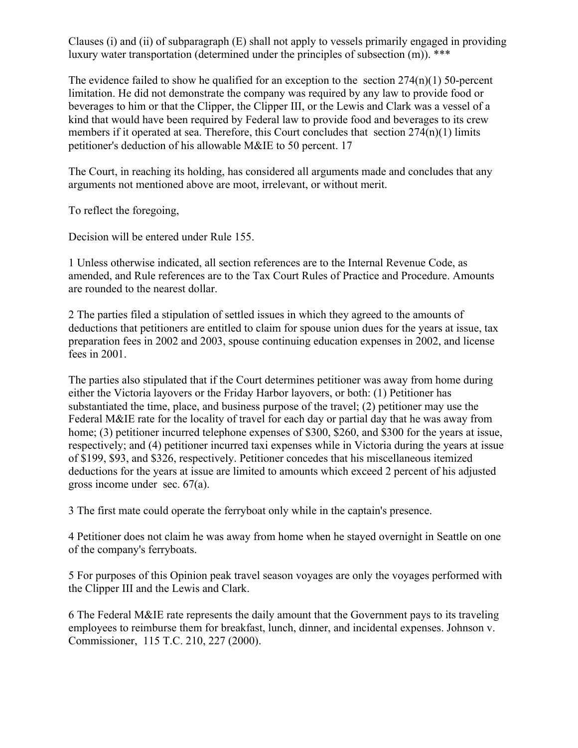Clauses (i) and (ii) of subparagraph (E) shall not apply to vessels primarily engaged in providing luxury water transportation (determined under the principles of subsection (m)). \*\*\*

The evidence failed to show he qualified for an exception to the section  $274(n)(1)$  50-percent limitation. He did not demonstrate the company was required by any law to provide food or beverages to him or that the Clipper, the Clipper III, or the Lewis and Clark was a vessel of a kind that would have been required by Federal law to provide food and beverages to its crew members if it operated at sea. Therefore, this Court concludes that section  $274(n)(1)$  limits petitioner's deduction of his allowable M&IE to 50 percent. 17

The Court, in reaching its holding, has considered all arguments made and concludes that any arguments not mentioned above are moot, irrelevant, or without merit.

To reflect the foregoing,

Decision will be entered under Rule 155.

1 Unless otherwise indicated, all section references are to the Internal Revenue Code, as amended, and Rule references are to the Tax Court Rules of Practice and Procedure. Amounts are rounded to the nearest dollar.

2 The parties filed a stipulation of settled issues in which they agreed to the amounts of deductions that petitioners are entitled to claim for spouse union dues for the years at issue, tax preparation fees in 2002 and 2003, spouse continuing education expenses in 2002, and license fees in 2001.

The parties also stipulated that if the Court determines petitioner was away from home during either the Victoria layovers or the Friday Harbor layovers, or both: (1) Petitioner has substantiated the time, place, and business purpose of the travel; (2) petitioner may use the Federal M&IE rate for the locality of travel for each day or partial day that he was away from home; (3) petitioner incurred telephone expenses of \$300, \$260, and \$300 for the years at issue, respectively; and (4) petitioner incurred taxi expenses while in Victoria during the years at issue of \$199, \$93, and \$326, respectively. Petitioner concedes that his miscellaneous itemized deductions for the years at issue are limited to amounts which exceed 2 percent of his adjusted gross income under sec. 67(a).

3 The first mate could operate the ferryboat only while in the captain's presence.

4 Petitioner does not claim he was away from home when he stayed overnight in Seattle on one of the company's ferryboats.

5 For purposes of this Opinion peak travel season voyages are only the voyages performed with the Clipper III and the Lewis and Clark.

6 The Federal M&IE rate represents the daily amount that the Government pays to its traveling employees to reimburse them for breakfast, lunch, dinner, and incidental expenses. Johnson v. Commissioner, 115 T.C. 210, 227 (2000).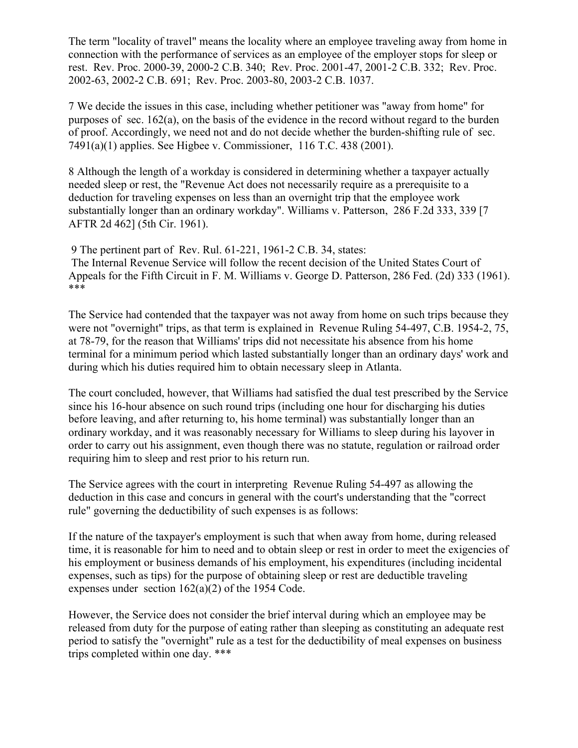The term "locality of travel" means the locality where an employee traveling away from home in connection with the performance of services as an employee of the employer stops for sleep or rest. Rev. Proc. 2000-39, 2000-2 C.B. 340; Rev. Proc. 2001-47, 2001-2 C.B. 332; Rev. Proc. 2002-63, 2002-2 C.B. 691; Rev. Proc. 2003-80, 2003-2 C.B. 1037.

7 We decide the issues in this case, including whether petitioner was "away from home" for purposes of sec. 162(a), on the basis of the evidence in the record without regard to the burden of proof. Accordingly, we need not and do not decide whether the burden-shifting rule of sec. 7491(a)(1) applies. See Higbee v. Commissioner, 116 T.C. 438 (2001).

8 Although the length of a workday is considered in determining whether a taxpayer actually needed sleep or rest, the "Revenue Act does not necessarily require as a prerequisite to a deduction for traveling expenses on less than an overnight trip that the employee work substantially longer than an ordinary workday". Williams v. Patterson, 286 F.2d 333, 339 [7 AFTR 2d 462] (5th Cir. 1961).

9 The pertinent part of Rev. Rul. 61-221, 1961-2 C.B. 34, states: The Internal Revenue Service will follow the recent decision of the United States Court of Appeals for the Fifth Circuit in F. M. Williams v. George D. Patterson, 286 Fed. (2d) 333 (1961). \*\*\*

The Service had contended that the taxpayer was not away from home on such trips because they were not "overnight" trips, as that term is explained in Revenue Ruling 54-497, C.B. 1954-2, 75, at 78-79, for the reason that Williams' trips did not necessitate his absence from his home terminal for a minimum period which lasted substantially longer than an ordinary days' work and during which his duties required him to obtain necessary sleep in Atlanta.

The court concluded, however, that Williams had satisfied the dual test prescribed by the Service since his 16-hour absence on such round trips (including one hour for discharging his duties before leaving, and after returning to, his home terminal) was substantially longer than an ordinary workday, and it was reasonably necessary for Williams to sleep during his layover in order to carry out his assignment, even though there was no statute, regulation or railroad order requiring him to sleep and rest prior to his return run.

The Service agrees with the court in interpreting Revenue Ruling 54-497 as allowing the deduction in this case and concurs in general with the court's understanding that the "correct rule" governing the deductibility of such expenses is as follows:

If the nature of the taxpayer's employment is such that when away from home, during released time, it is reasonable for him to need and to obtain sleep or rest in order to meet the exigencies of his employment or business demands of his employment, his expenditures (including incidental expenses, such as tips) for the purpose of obtaining sleep or rest are deductible traveling expenses under section 162(a)(2) of the 1954 Code.

However, the Service does not consider the brief interval during which an employee may be released from duty for the purpose of eating rather than sleeping as constituting an adequate rest period to satisfy the "overnight" rule as a test for the deductibility of meal expenses on business trips completed within one day. \*\*\*